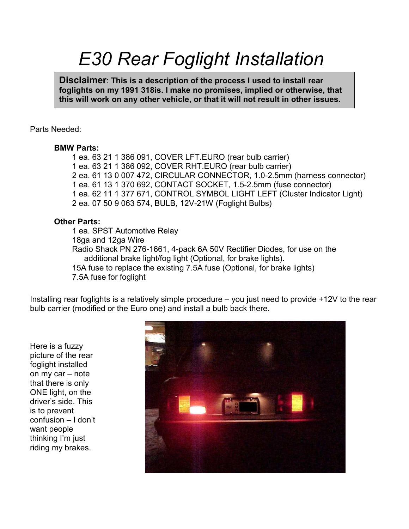# E30 Rear Foglight Installation

Disclaimer: This is a description of the process I used to install rear foglights on my 1991 318is. I make no promises, implied or otherwise, that this will work on any other vehicle, or that it will not result in other issues.

#### Parts Needed:

#### BMW Parts:

1 ea. 63 21 1 386 091, COVER LFT.EURO (rear bulb carrier) 1 ea. 63 21 1 386 092, COVER RHT.EURO (rear bulb carrier) 2 ea. 61 13 0 007 472, CIRCULAR CONNECTOR, 1.0-2.5mm (harness connector) 1 ea. 61 13 1 370 692, CONTACT SOCKET, 1.5-2.5mm (fuse connector) 1 ea. 62 11 1 377 671, CONTROL SYMBOL LIGHT LEFT (Cluster Indicator Light) 2 ea. 07 50 9 063 574, BULB, 12V-21W (Foglight Bulbs)

#### Other Parts:

1 ea. SPST Automotive Relay 18ga and 12ga Wire Radio Shack PN 276-1661, 4-pack 6A 50V Rectifier Diodes, for use on the additional brake light/fog light (Optional, for brake lights). 15A fuse to replace the existing 7.5A fuse (Optional, for brake lights) 7.5A fuse for foglight

Installing rear foglights is a relatively simple procedure – you just need to provide +12V to the rear bulb carrier (modified or the Euro one) and install a bulb back there.

Here is a fuzzy picture of the rear foglight installed on my car – note that there is only ONE light, on the driver's side. This is to prevent confusion – I don't want people thinking I'm just riding my brakes.

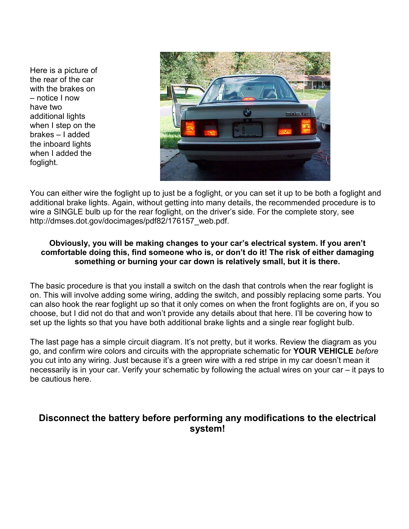Here is a picture of the rear of the car with the brakes on – notice I now have two additional lights when I step on the brakes – I added the inboard lights when I added the foglight.



You can either wire the foglight up to just be a foglight, or you can set it up to be both a foglight and additional brake lights. Again, without getting into many details, the recommended procedure is to wire a SINGLE bulb up for the rear foglight, on the driver's side. For the complete story, see http://dmses.dot.gov/docimages/pdf82/176157\_web.pdf.

#### Obviously, you will be making changes to your car's electrical system. If you aren't comfortable doing this, find someone who is, or don't do it! The risk of either damaging something or burning your car down is relatively small, but it is there.

The basic procedure is that you install a switch on the dash that controls when the rear foglight is on. This will involve adding some wiring, adding the switch, and possibly replacing some parts. You can also hook the rear foglight up so that it only comes on when the front foglights are on, if you so choose, but I did not do that and won't provide any details about that here. I'll be covering how to set up the lights so that you have both additional brake lights and a single rear foglight bulb.

The last page has a simple circuit diagram. It's not pretty, but it works. Review the diagram as you go, and confirm wire colors and circuits with the appropriate schematic for **YOUR VEHICLE** before you cut into any wiring. Just because it's a green wire with a red stripe in my car doesn't mean it necessarily is in your car. Verify your schematic by following the actual wires on your car – it pays to be cautious here.

### Disconnect the battery before performing any modifications to the electrical system!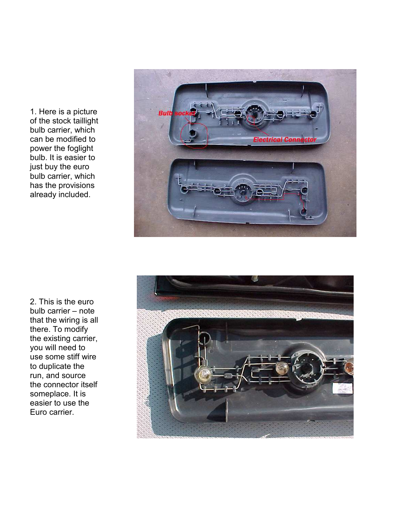1. Here is a picture of the stock taillight bulb carrier, which can be modified to power the foglight bulb. It is easier to just buy the euro bulb carrier, which has the provisions already included.



2. This is the euro bulb carrier – note that the wiring is all there. To modify the existing carrier, you will need to use some stiff wire to duplicate the run, and source the connector itself someplace. It is easier to use the Euro carrier.

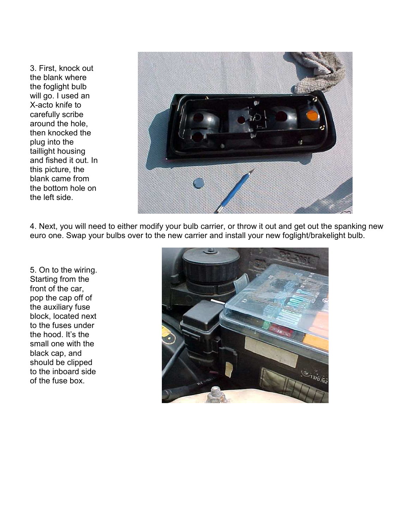3. First, knock out the blank where the foglight bulb will go. I used an X-acto knife to carefully scribe around the hole, then knocked the plug into the taillight housing and fished it out. In this picture, the blank came from the bottom hole on the left side.



4. Next, you will need to either modify your bulb carrier, or throw it out and get out the spanking new euro one. Swap your bulbs over to the new carrier and install your new foglight/brakelight bulb.

5. On to the wiring. Starting from the front of the car, pop the cap off of the auxiliary fuse block, located next to the fuses under the hood. It's the small one with the black cap, and should be clipped to the inboard side of the fuse box.

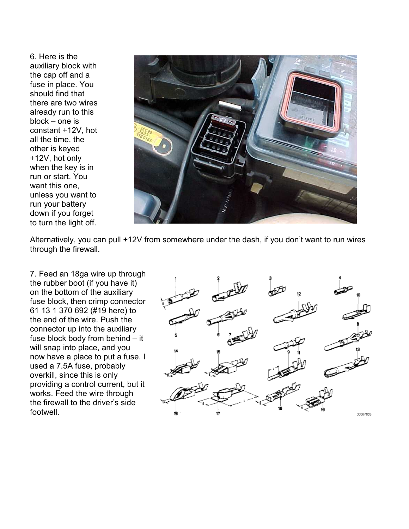6. Here is the auxiliary block with the cap off and a fuse in place. You should find that there are two wires already run to this block – one is constant +12V, hot all the time, the other is keyed +12V, hot only when the key is in run or start. You want this one, unless you want to run your battery down if you forget to turn the light off.



Alternatively, you can pull +12V from somewhere under the dash, if you don't want to run wires through the firewall.

7. Feed an 18ga wire up through the rubber boot (if you have it) on the bottom of the auxiliary fuse block, then crimp connector 61 13 1 370 692 (#19 here) to the end of the wire. Push the connector up into the auxiliary fuse block body from behind – it will snap into place, and you now have a place to put a fuse. I used a 7.5A fuse, probably overkill, since this is only providing a control current, but it works. Feed the wire through the firewall to the driver's side footwell.

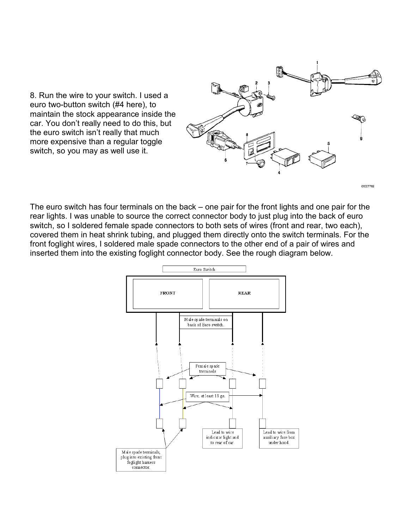8. Run the wire to your switch. I used a euro two-button switch (#4 here), to maintain the stock appearance inside the car. You don't really need to do this, but the euro switch isn't really that much more expensive than a regular toggle switch, so you may as well use it.



The euro switch has four terminals on the back – one pair for the front lights and one pair for the rear lights. I was unable to source the correct connector body to just plug into the back of euro switch, so I soldered female spade connectors to both sets of wires (front and rear, two each), covered them in heat shrink tubing, and plugged them directly onto the switch terminals. For the front foglight wires, I soldered male spade connectors to the other end of a pair of wires and inserted them into the existing foglight connector body. See the rough diagram below.

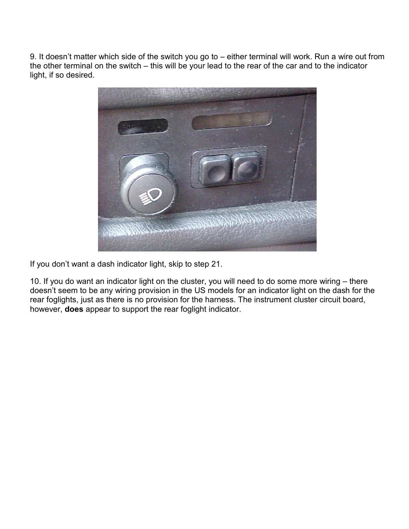9. It doesn't matter which side of the switch you go to – either terminal will work. Run a wire out from the other terminal on the switch – this will be your lead to the rear of the car and to the indicator light, if so desired.



If you don't want a dash indicator light, skip to step 21.

10. If you do want an indicator light on the cluster, you will need to do some more wiring – there doesn't seem to be any wiring provision in the US models for an indicator light on the dash for the rear foglights, just as there is no provision for the harness. The instrument cluster circuit board, however, does appear to support the rear foglight indicator.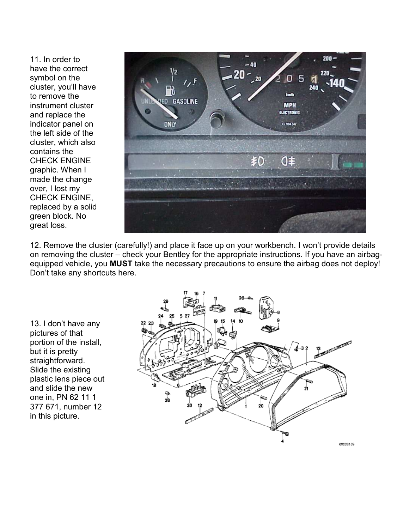11. In order to have the correct symbol on the cluster, you'll have to remove the instrument cluster and replace the indicator panel on the left side of the cluster, which also contains the CHECK ENGINE graphic. When I made the change over, I lost my CHECK ENGINE, replaced by a solid green block. No great loss.



12. Remove the cluster (carefully!) and place it face up on your workbench. I won't provide details on removing the cluster – check your Bentley for the appropriate instructions. If you have an airbagequipped vehicle, you **MUST** take the necessary precautions to ensure the airbag does not deploy! Don't take any shortcuts here.

13. I don't have any pictures of that portion of the install, but it is pretty straightforward. Slide the existing plastic lens piece out and slide the new one in, PN 62 11 1 377 671, number 12 in this picture.

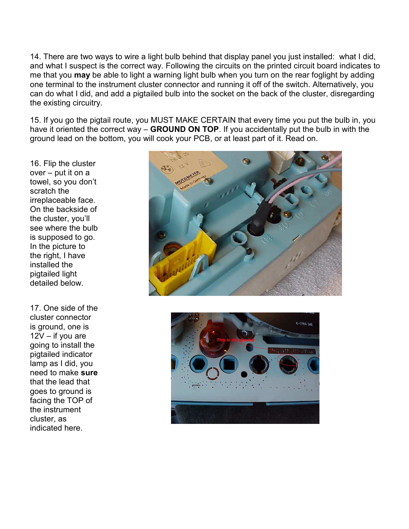14. There are two ways to wire a light bulb behind that display panel you just installed: what I did, and what I suspect is the correct way. Following the circuits on the printed circuit board indicates to me that you may be able to light a warning light bulb when you turn on the rear foglight by adding one terminal to the instrument cluster connector and running it off of the switch. Alternatively, you can do what I did, and add a pigtailed bulb into the socket on the back of the cluster, disregarding the existing circuitry.

15. If you go the pigtail route, you MUST MAKE CERTAIN that every time you put the bulb in, you have it oriented the correct way – GROUND ON TOP. If you accidentally put the bulb in with the ground lead on the bottom, you will cook your PCB, or at least part of it. Read on.

16. Flip the cluster over – put it on a towel, so you don't scratch the irreplaceable face. On the backside of the cluster, you'll see where the bulb is supposed to go. In the picture to the right, I have installed the pigtailed light detailed below.

17. One side of the cluster connector is ground, one is  $12V - if you are$ going to install the pigtailed indicator lamp as I did, you need to make sure that the lead that goes to ground is facing the TOP of the instrument cluster, as indicated here.



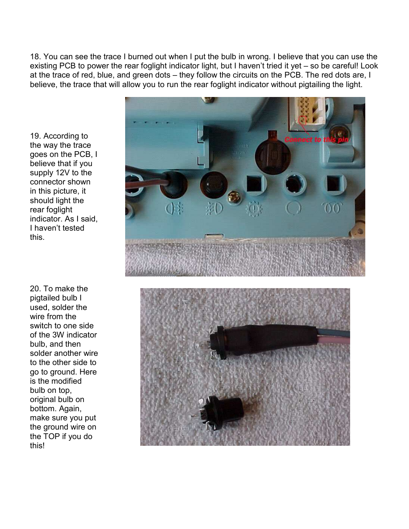18. You can see the trace I burned out when I put the bulb in wrong. I believe that you can use the existing PCB to power the rear foglight indicator light, but I haven't tried it yet – so be careful! Look at the trace of red, blue, and green dots – they follow the circuits on the PCB. The red dots are, I believe, the trace that will allow you to run the rear foglight indicator without pigtailing the light.

19. According to the way the trace goes on the PCB, I believe that if you supply 12V to the connector shown in this picture, it should light the rear foglight indicator. As I said, I haven't tested this.

20. To make the pigtailed bulb I used, solder the wire from the switch to one side of the 3W indicator bulb, and then solder another wire to the other side to go to ground. Here is the modified bulb on top, original bulb on bottom. Again, make sure you put the ground wire on the TOP if you do this!

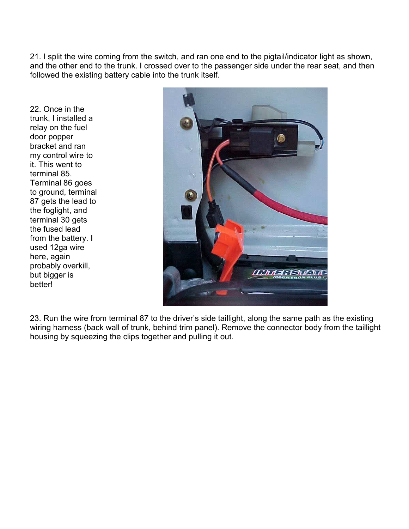21. I split the wire coming from the switch, and ran one end to the pigtail/indicator light as shown, and the other end to the trunk. I crossed over to the passenger side under the rear seat, and then followed the existing battery cable into the trunk itself.

22. Once in the trunk, I installed a relay on the fuel door popper bracket and ran my control wire to it. This went to terminal 85. Terminal 86 goes to ground, terminal 87 gets the lead to the foglight, and terminal 30 gets the fused lead from the battery. I used 12ga wire here, again probably overkill, but bigger is better!



23. Run the wire from terminal 87 to the driver's side taillight, along the same path as the existing wiring harness (back wall of trunk, behind trim panel). Remove the connector body from the taillight housing by squeezing the clips together and pulling it out.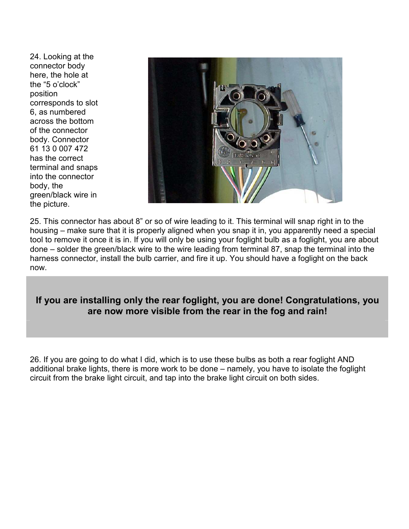24. Looking at the connector body here, the hole at the "5 o'clock" position corresponds to slot 6, as numbered across the bottom of the connector body. Connector 61 13 0 007 472 has the correct terminal and snaps into the connector body, the green/black wire in the picture.



25. This connector has about 8" or so of wire leading to it. This terminal will snap right in to the housing – make sure that it is properly aligned when you snap it in, you apparently need a special tool to remove it once it is in. If you will only be using your foglight bulb as a foglight, you are about done – solder the green/black wire to the wire leading from terminal 87, snap the terminal into the harness connector, install the bulb carrier, and fire it up. You should have a foglight on the back now.

# If you are installing only the rear foglight, you are done! Congratulations, you are now more visible from the rear in the fog and rain!

26. If you are going to do what I did, which is to use these bulbs as both a rear foglight AND additional brake lights, there is more work to be done – namely, you have to isolate the foglight circuit from the brake light circuit, and tap into the brake light circuit on both sides.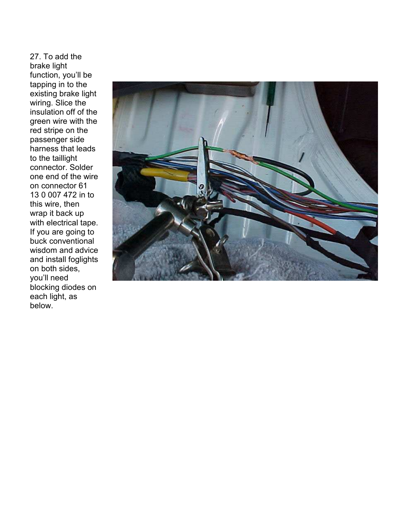27. To add the brake light function, you'll be tapping in to the existing brake light wiring. Slice the insulation off of the green wire with the red stripe on the passenger side harness that leads to the taillight connector. Solder one end of the wire on connector 61 13 0 007 472 in to this wire, then wrap it back up with electrical tape. If you are going to buck conventional wisdom and advice and install foglights on both sides, you'll need blocking diodes on each light, as below.

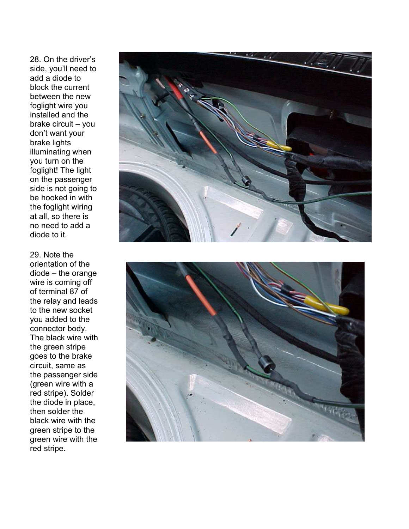28. On the driver's side, you'll need to add a diode to block the current between the new foglight wire you installed and the brake circuit – you don't want your brake lights illuminating when you turn on the foglight! The light on the passenger side is not going to be hooked in with the foglight wiring at all, so there is no need to add a diode to it.

29. Note the orientation of the diode – the orange wire is coming off of terminal 87 of the relay and leads to the new socket you added to the connector body. The black wire with the green stripe goes to the brake circuit, same as the passenger side (green wire with a red stripe). Solder the diode in place, then solder the black wire with the green stripe to the green wire with the red stripe.



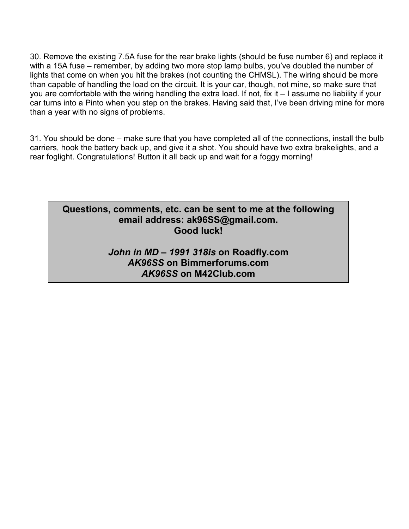30. Remove the existing 7.5A fuse for the rear brake lights (should be fuse number 6) and replace it with a 15A fuse – remember, by adding two more stop lamp bulbs, you've doubled the number of lights that come on when you hit the brakes (not counting the CHMSL). The wiring should be more than capable of handling the load on the circuit. It is your car, though, not mine, so make sure that you are comfortable with the wiring handling the extra load. If not, fix it – I assume no liability if your car turns into a Pinto when you step on the brakes. Having said that, I've been driving mine for more than a year with no signs of problems.

31. You should be done – make sure that you have completed all of the connections, install the bulb carriers, hook the battery back up, and give it a shot. You should have two extra brakelights, and a rear foglight. Congratulations! Button it all back up and wait for a foggy morning!

# Questions, comments, etc. can be sent to me at the following email address: ak96SS@gmail.com. Good luck!

# John in MD – 1991 318is on Roadfly.com AK96SS on Bimmerforums.com AK96SS on M42Club.com